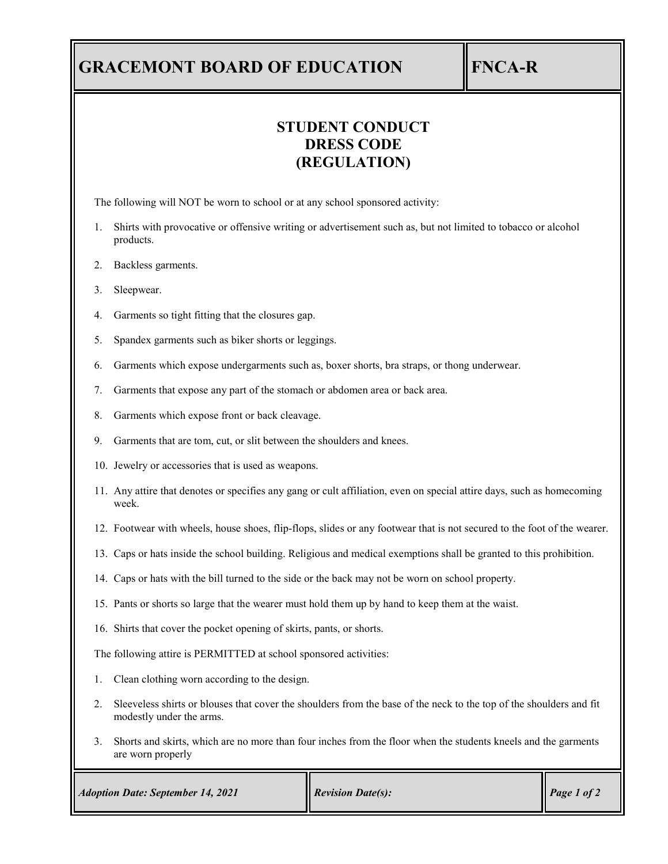## **GRACEMONT BOARD OF EDUCATION FNCA-R**

## **STUDENT CONDUCT DRESS CODE (REGULATION)**

The following will NOT be worn to school or at any school sponsored activity:

- 1. Shirts with provocative or offensive writing or advertisement such as, but not limited to tobacco or alcohol products.
- 2. Backless garments.
- 3. Sleepwear.
- 4. Garments so tight fitting that the closures gap.
- 5. Spandex garments such as biker shorts or leggings.
- 6. Garments which expose undergarments such as, boxer shorts, bra straps, or thong underwear.
- 7. Garments that expose any part of the stomach or abdomen area or back area.
- 8. Garments which expose front or back cleavage.
- 9. Garments that are tom, cut, or slit between the shoulders and knees.
- 10. Jewelry or accessories that is used as weapons.
- 11. Any attire that denotes or specifies any gang or cult affiliation, even on special attire days, such as homecoming week.
- 12. Footwear with wheels, house shoes, flip-flops, slides or any footwear that is not secured to the foot of the wearer.
- 13. Caps or hats inside the school building. Religious and medical exemptions shall be granted to this prohibition.
- 14. Caps or hats with the bill turned to the side or the back may not be worn on school property.
- 15. Pants or shorts so large that the wearer must hold them up by hand to keep them at the waist.
- 16. Shirts that cover the pocket opening of skirts, pants, or shorts.

The following attire is PERMITTED at school sponsored activities:

- 1. Clean clothing worn according to the design.
- 2. Sleeveless shirts or blouses that cover the shoulders from the base of the neck to the top of the shoulders and fit modestly under the arms.
- 3. Shorts and skirts, which are no more than four inches from the floor when the students kneels and the garments are worn properly

| <b>Adoption Date: September 14, 2021</b> | <b>Revision Date(s):</b> | Page 1 of 2 |
|------------------------------------------|--------------------------|-------------|
|------------------------------------------|--------------------------|-------------|